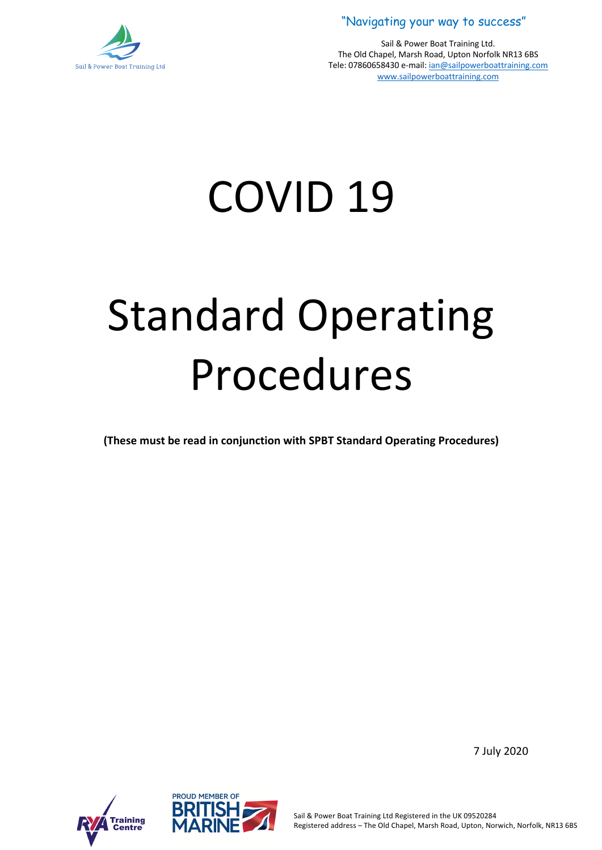

Sail & Power Boat Training Ltd. The Old Chapel, Marsh Road, Upton Norfolk NR13 6BS Tele: 07860658430 e-mail: ian@sailpowerboattraining.com www.sailpowerboattraining.com

# COVID 19

# Standard Operating Procedures

**(These must be read in conjunction with SPBT Standard Operating Procedures)**





7 July 2020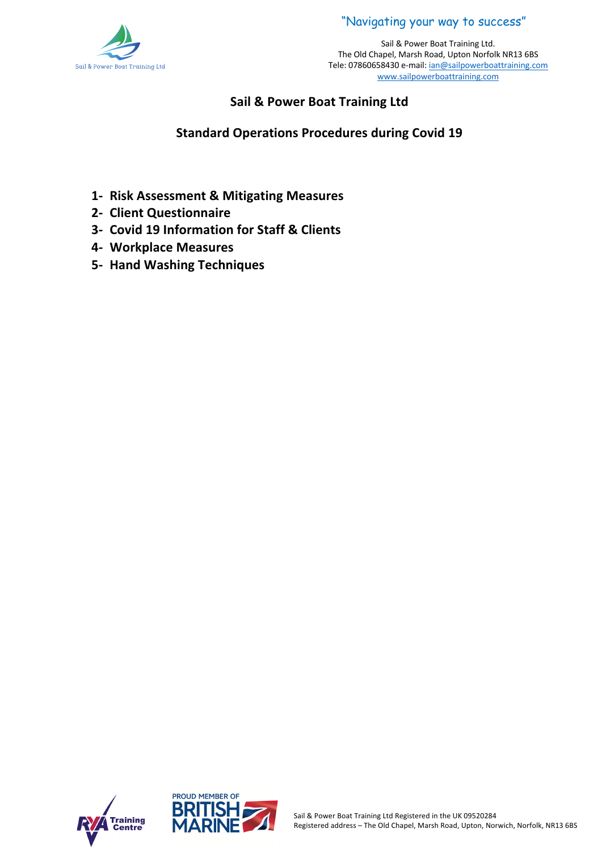



## **Sail & Power Boat Training Ltd**

## **Standard Operations Procedures during Covid 19**

- **1- Risk Assessment & Mitigating Measures**
- **2- Client Questionnaire**
- **3- Covid 19 Information for Staff & Clients**
- **4- Workplace Measures**
- **5- Hand Washing Techniques**



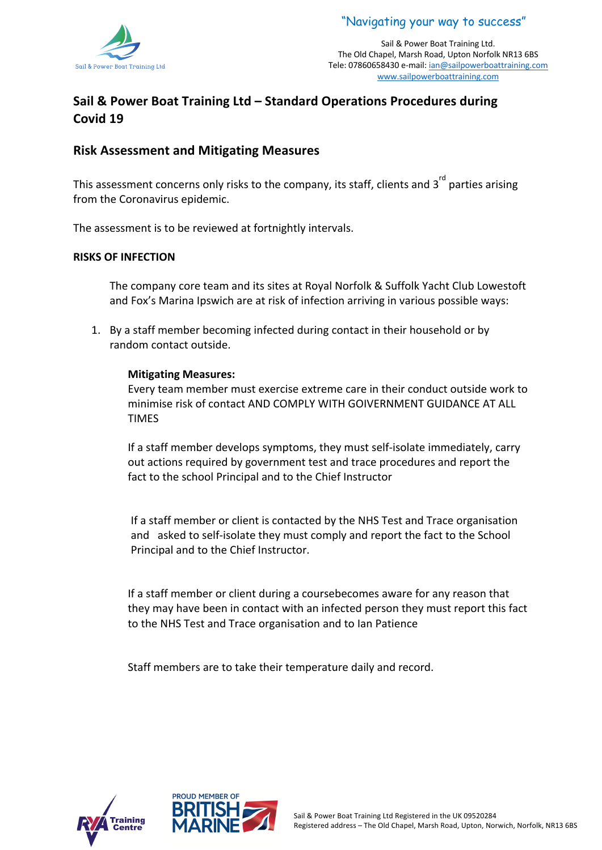



# **Sail & Power Boat Training Ltd – Standard Operations Procedures during Covid 19**

#### **Risk Assessment and Mitigating Measures**

This assessment concerns only risks to the company, its staff, clients and 3<sup>rd</sup> parties arising from the Coronavirus epidemic.

The assessment is to be reviewed at fortnightly intervals.

#### **RISKS OF INFECTION**

The company core team and its sites at Royal Norfolk & Suffolk Yacht Club Lowestoft and Fox's Marina Ipswich are at risk of infection arriving in various possible ways:

1. By a staff member becoming infected during contact in their household or by random contact outside.

#### **Mitigating Measures:**

Every team member must exercise extreme care in their conduct outside work to minimise risk of contact AND COMPLY WITH GOIVERNMENT GUIDANCE AT ALL TIMES

If a staff member develops symptoms, they must self-isolate immediately, carry out actions required by government test and trace procedures and report the fact to the school Principal and to the Chief Instructor

If a staff member or client is contacted by the NHS Test and Trace organisation and asked to self-isolate they must comply and report the fact to the School Principal and to the Chief Instructor.

If a staff member or client during a coursebecomes aware for any reason that they may have been in contact with an infected person they must report this fact to the NHS Test and Trace organisation and to Ian Patience

Staff members are to take their temperature daily and record.



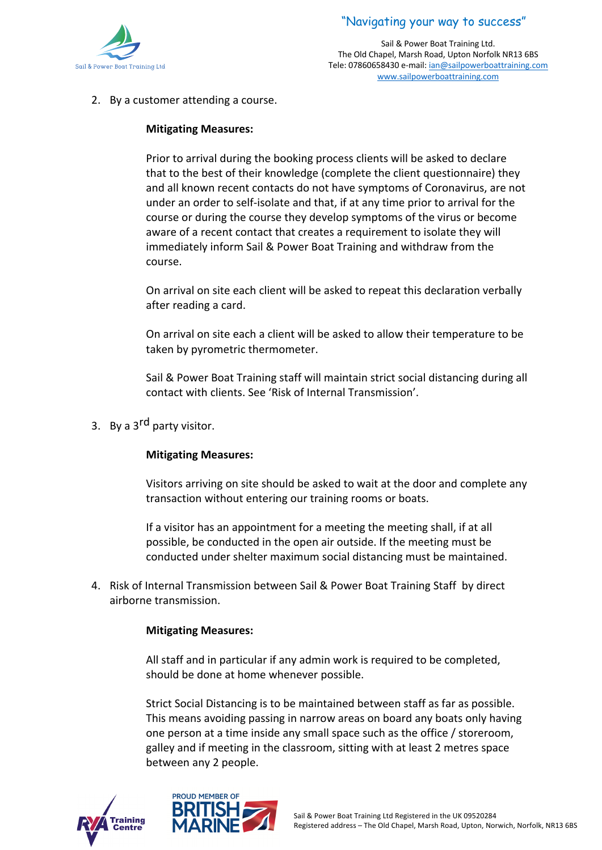



2. By a customer attending a course.

#### **Mitigating Measures:**

Prior to arrival during the booking process clients will be asked to declare that to the best of their knowledge (complete the client questionnaire) they and all known recent contacts do not have symptoms of Coronavirus, are not under an order to self-isolate and that, if at any time prior to arrival for the course or during the course they develop symptoms of the virus or become aware of a recent contact that creates a requirement to isolate they will immediately inform Sail & Power Boat Training and withdraw from the course.

On arrival on site each client will be asked to repeat this declaration verbally after reading a card.

On arrival on site each a client will be asked to allow their temperature to be taken by pyrometric thermometer.

Sail & Power Boat Training staff will maintain strict social distancing during all contact with clients. See 'Risk of Internal Transmission'.

3. By a 3<sup>rd</sup> party visitor.

#### **Mitigating Measures:**

Visitors arriving on site should be asked to wait at the door and complete any transaction without entering our training rooms or boats.

If a visitor has an appointment for a meeting the meeting shall, if at all possible, be conducted in the open air outside. If the meeting must be conducted under shelter maximum social distancing must be maintained.

4. Risk of Internal Transmission between Sail & Power Boat Training Staff by direct airborne transmission.

#### **Mitigating Measures:**

All staff and in particular if any admin work is required to be completed, should be done at home whenever possible.

Strict Social Distancing is to be maintained between staff as far as possible. This means avoiding passing in narrow areas on board any boats only having one person at a time inside any small space such as the office / storeroom, galley and if meeting in the classroom, sitting with at least 2 metres space between any 2 people.



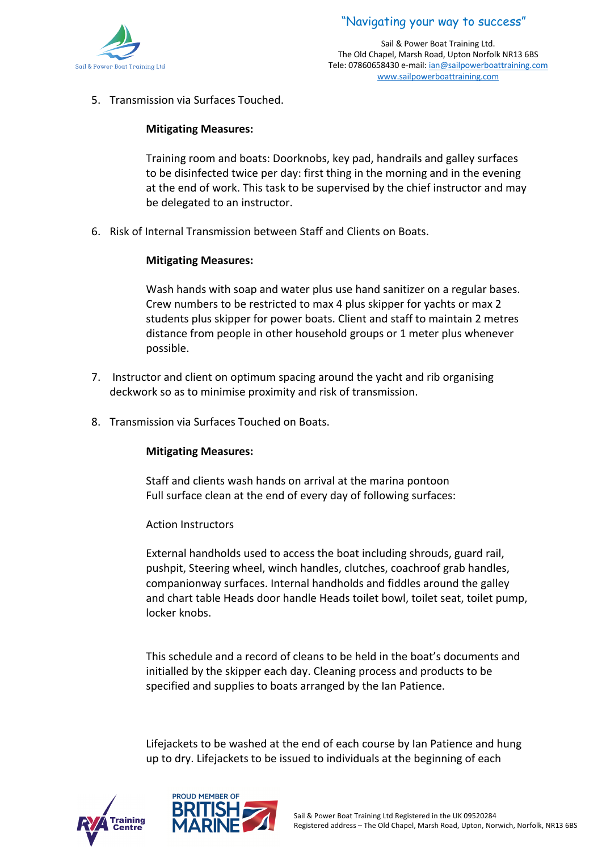

5. Transmission via Surfaces Touched.

#### **Mitigating Measures:**

Training room and boats: Doorknobs, key pad, handrails and galley surfaces to be disinfected twice per day: first thing in the morning and in the evening at the end of work. This task to be supervised by the chief instructor and may be delegated to an instructor.

6. Risk of Internal Transmission between Staff and Clients on Boats.

#### **Mitigating Measures:**

Wash hands with soap and water plus use hand sanitizer on a regular bases. Crew numbers to be restricted to max 4 plus skipper for yachts or max 2 students plus skipper for power boats. Client and staff to maintain 2 metres distance from people in other household groups or 1 meter plus whenever possible.

- 7. Instructor and client on optimum spacing around the yacht and rib organising deckwork so as to minimise proximity and risk of transmission.
- 8. Transmission via Surfaces Touched on Boats.

#### **Mitigating Measures:**

Staff and clients wash hands on arrival at the marina pontoon Full surface clean at the end of every day of following surfaces:

#### Action Instructors

External handholds used to access the boat including shrouds, guard rail, pushpit, Steering wheel, winch handles, clutches, coachroof grab handles, companionway surfaces. Internal handholds and fiddles around the galley and chart table Heads door handle Heads toilet bowl, toilet seat, toilet pump, locker knobs.

This schedule and a record of cleans to be held in the boat's documents and initialled by the skipper each day. Cleaning process and products to be specified and supplies to boats arranged by the Ian Patience.

Lifejackets to be washed at the end of each course by Ian Patience and hung up to dry. Lifejackets to be issued to individuals at the beginning of each



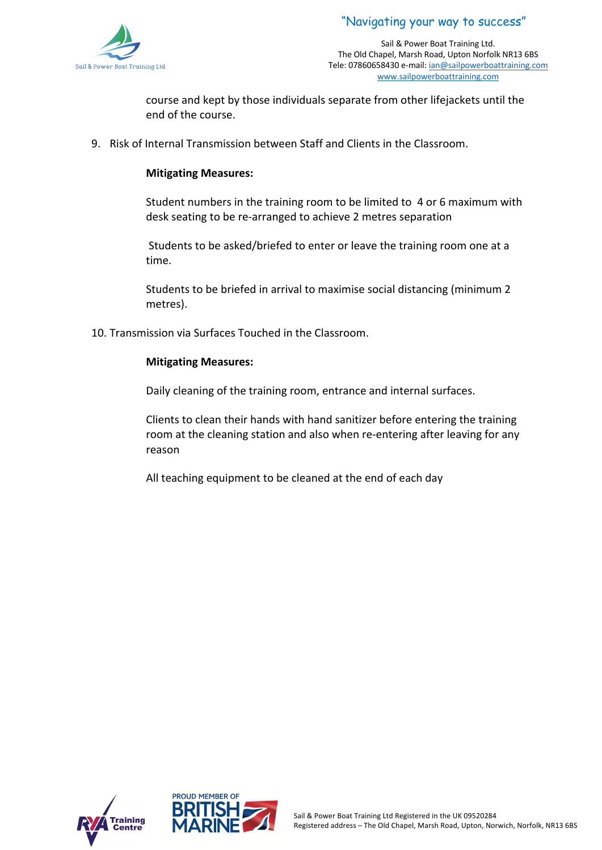



course and kept by those individuals separate from other lifejackets until the end of the course.

9. Risk of Internal Transmission between Staff and Clients in the Classroom.

#### **Mitigating Measures:**

Student numbers in the training room to be limited to 4 or 6 maximum with desk seating to be re-arranged to achieve 2 metres separation

Students to be asked/briefed to enter or leave the training room one at a time.

Students to be briefed in arrival to maximise social distancing (minimum 2 metres).

10. Transmission via Surfaces Touched in the Classroom.

#### **Mitigating Measures:**

Daily cleaning of the training room, entrance and internal surfaces.

Clients to clean their hands with hand sanitizer before entering the training room at the cleaning station and also when re-entering after leaving for any reason

All teaching equipment to be cleaned at the end of each day



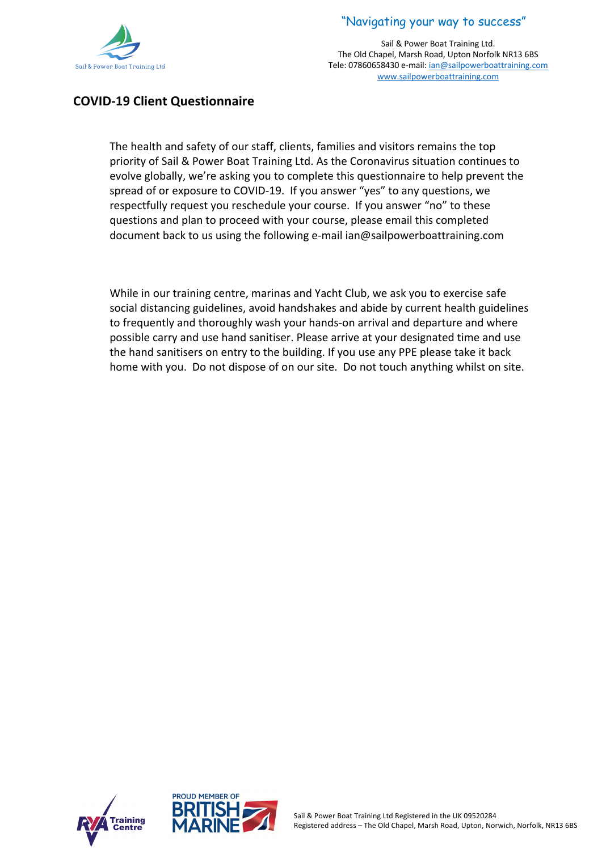



## **COVID-19 Client Questionnaire**

The health and safety of our staff, clients, families and visitors remains the top priority of Sail & Power Boat Training Ltd. As the Coronavirus situation continues to evolve globally, we're asking you to complete this questionnaire to help prevent the spread of or exposure to COVID-19. If you answer "yes" to any questions, we respectfully request you reschedule your course. If you answer "no" to these questions and plan to proceed with your course, please email this completed document back to us using the following e-mail ian@sailpowerboattraining.com

While in our training centre, marinas and Yacht Club, we ask you to exercise safe social distancing guidelines, avoid handshakes and abide by current health guidelines to frequently and thoroughly wash your hands-on arrival and departure and where possible carry and use hand sanitiser. Please arrive at your designated time and use the hand sanitisers on entry to the building. If you use any PPE please take it back home with you. Do not dispose of on our site. Do not touch anything whilst on site.



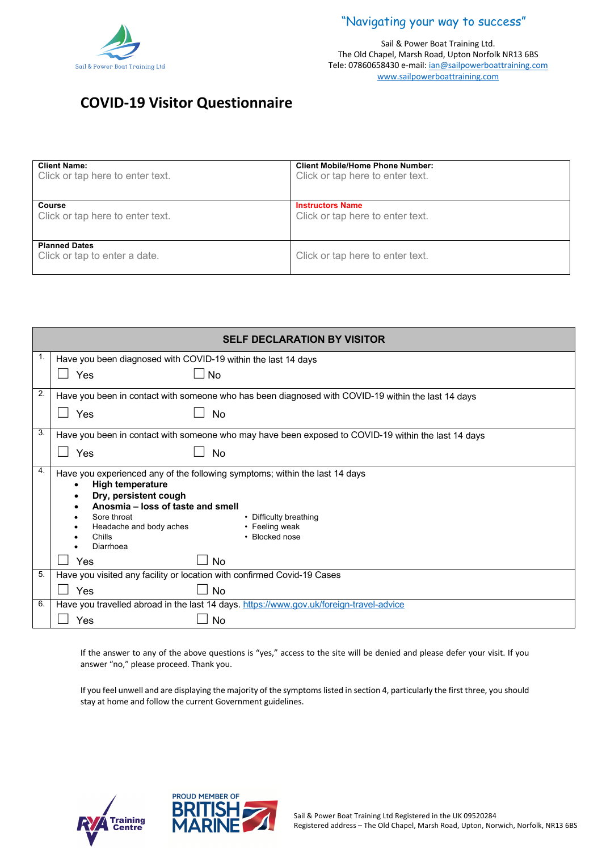

Sail & Power Boat Training Ltd. The Old Chapel, Marsh Road, Upton Norfolk NR13 6BS Tele: 07860658430 e-mail: ian@sailpowerboattraining.com www.sailpowerboattraining.com

# **COVID-19 Visitor Questionnaire**

| <b>Client Name:</b>                                   | <b>Client Mobile/Home Phone Number:</b> |
|-------------------------------------------------------|-----------------------------------------|
| Click or tap here to enter text.                      | Click or tap here to enter text.        |
| Course                                                | <b>Instructors Name</b>                 |
| Click or tap here to enter text.                      | Click or tap here to enter text.        |
| <b>Planned Dates</b><br>Click or tap to enter a date. | Click or tap here to enter text.        |

| <b>SELF DECLARATION BY VISITOR</b> |                                                                                                                                                                                                               |
|------------------------------------|---------------------------------------------------------------------------------------------------------------------------------------------------------------------------------------------------------------|
| 1.                                 | Have you been diagnosed with COVID-19 within the last 14 days                                                                                                                                                 |
|                                    | Yes<br><b>No</b>                                                                                                                                                                                              |
| 2.                                 | Have you been in contact with someone who has been diagnosed with COVID-19 within the last 14 days                                                                                                            |
|                                    | Yes<br><b>No</b>                                                                                                                                                                                              |
| 3.                                 | Have you been in contact with someone who may have been exposed to COVID-19 within the last 14 days                                                                                                           |
|                                    | Yes<br><b>No</b>                                                                                                                                                                                              |
| 4.                                 | Have you experienced any of the following symptoms; within the last 14 days<br><b>High temperature</b><br>Dry, persistent cough<br>Anosmia – loss of taste and smell<br>Sore throat<br>• Difficulty breathing |
|                                    | • Feeling weak<br>Headache and body aches<br>• Blocked nose<br>Chills<br>Diarrhoea                                                                                                                            |
|                                    | Yes<br>No                                                                                                                                                                                                     |
| 5.                                 | Have you visited any facility or location with confirmed Covid-19 Cases                                                                                                                                       |
|                                    | Yes<br><b>No</b>                                                                                                                                                                                              |
| 6.                                 | Have you travelled abroad in the last 14 days. https://www.gov.uk/foreign-travel-advice                                                                                                                       |
|                                    | Yes<br><b>No</b>                                                                                                                                                                                              |

If the answer to any of the above questions is "yes," access to the site will be denied and please defer your visit. If you answer "no," please proceed. Thank you.

If you feel unwell and are displaying the majority of the symptoms listed in section 4, particularly the first three, you should stay at home and follow the current Government guidelines.



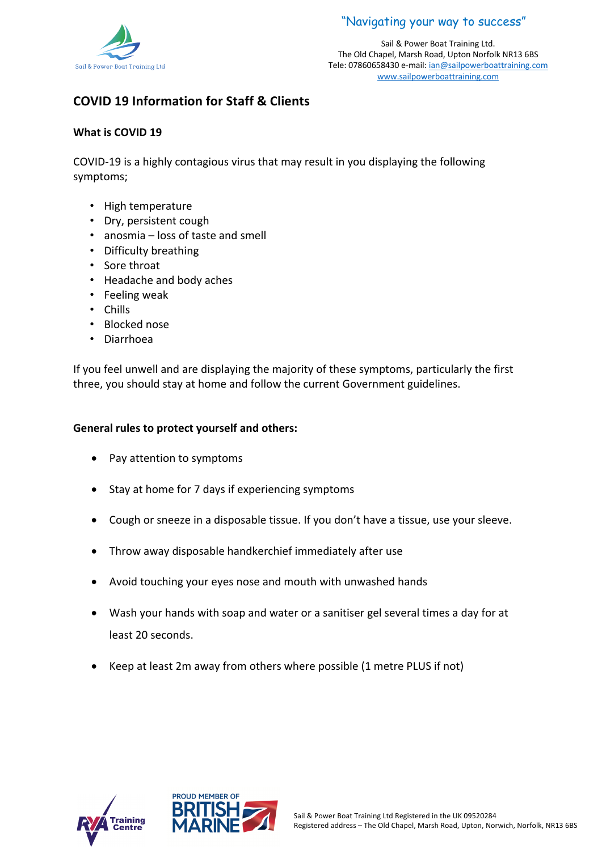



# **COVID 19 Information for Staff & Clients**

#### **What is COVID 19**

COVID-19 is a highly contagious virus that may result in you displaying the following symptoms;

- High temperature
- Dry, persistent cough
- anosmia loss of taste and smell
- Difficulty breathing
- Sore throat
- Headache and body aches
- Feeling weak
- Chills
- Blocked nose
- Diarrhoea

If you feel unwell and are displaying the majority of these symptoms, particularly the first three, you should stay at home and follow the current Government guidelines.

#### **General rules to protect yourself and others:**

- Pay attention to symptoms
- Stay at home for 7 days if experiencing symptoms
- Cough or sneeze in a disposable tissue. If you don't have a tissue, use your sleeve.
- Throw away disposable handkerchief immediately after use
- Avoid touching your eyes nose and mouth with unwashed hands
- Wash your hands with soap and water or a sanitiser gel several times a day for at least 20 seconds.
- Keep at least 2m away from others where possible (1 metre PLUS if not)



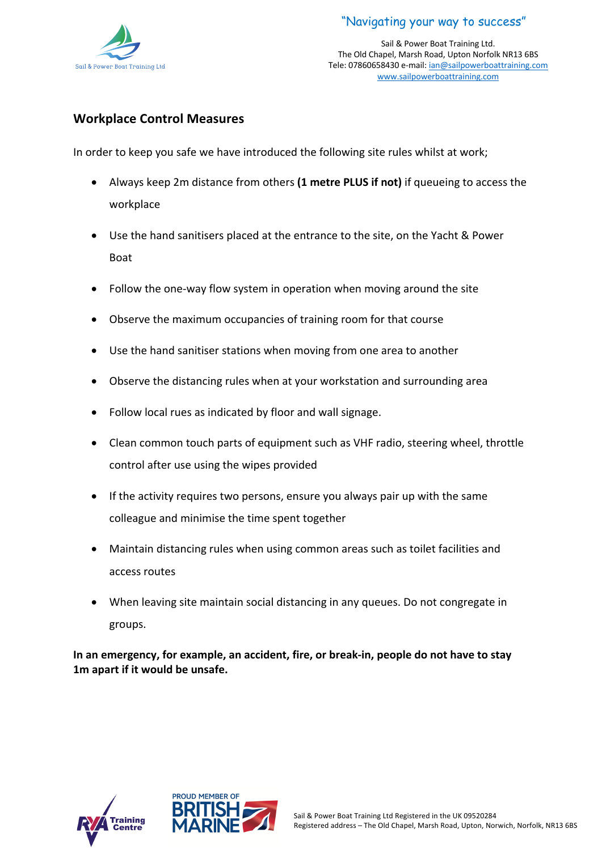

Sail & Power Boat Training Ltd. The Old Chapel, Marsh Road, Upton Norfolk NR13 6BS Tele: 07860658430 e-mail: ian@sailpowerboattraining.com www.sailpowerboattraining.com

### **Workplace Control Measures**

In order to keep you safe we have introduced the following site rules whilst at work;

- Always keep 2m distance from others **(1 metre PLUS if not)** if queueing to access the workplace
- Use the hand sanitisers placed at the entrance to the site, on the Yacht & Power Boat
- Follow the one-way flow system in operation when moving around the site
- Observe the maximum occupancies of training room for that course
- Use the hand sanitiser stations when moving from one area to another
- Observe the distancing rules when at your workstation and surrounding area
- Follow local rues as indicated by floor and wall signage.
- Clean common touch parts of equipment such as VHF radio, steering wheel, throttle control after use using the wipes provided
- If the activity requires two persons, ensure you always pair up with the same colleague and minimise the time spent together
- Maintain distancing rules when using common areas such as toilet facilities and access routes
- When leaving site maintain social distancing in any queues. Do not congregate in groups.

**In an emergency, for example, an accident, fire, or break-in, people do not have to stay 1m apart if it would be unsafe.**